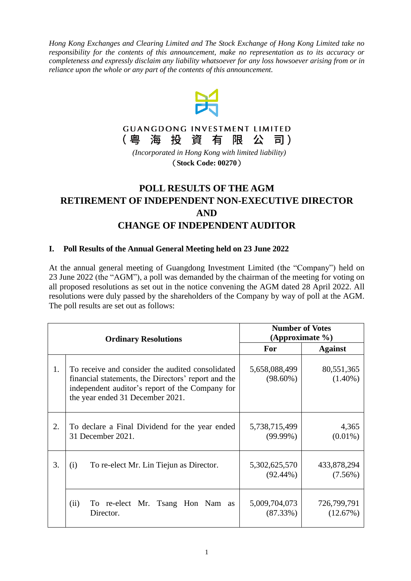*Hong Kong Exchanges and Clearing Limited and The Stock Exchange of Hong Kong Limited take no responsibility for the contents of this announcement, make no representation as to its accuracy or completeness and expressly disclaim any liability whatsoever for any loss howsoever arising from or in reliance upon the whole or any part of the contents of this announcement*.





*(Incorporated in Hong Kong with limited liability)* (**Stock Code: 00270**)

# **POLL RESULTS OF THE AGM RETIREMENT OF INDEPENDENT NON-EXECUTIVE DIRECTOR AND CHANGE OF INDEPENDENT AUDITOR**

## **I. Poll Results of the Annual General Meeting held on 23 June 2022**

At the annual general meeting of Guangdong Investment Limited (the "Company") held on 23 June 2022 (the "AGM"), a poll was demanded by the chairman of the meeting for voting on all proposed resolutions as set out in the notice convening the AGM dated 28 April 2022. All resolutions were duly passed by the shareholders of the Company by way of poll at the AGM. The poll results are set out as follows:

| <b>Ordinary Resolutions</b> |                                                                                                                                                                                                | <b>Number of Votes</b><br>(Approximate $\%$ ) |                           |
|-----------------------------|------------------------------------------------------------------------------------------------------------------------------------------------------------------------------------------------|-----------------------------------------------|---------------------------|
|                             |                                                                                                                                                                                                | For                                           | <b>Against</b>            |
| 1.                          | To receive and consider the audited consolidated<br>financial statements, the Directors' report and the<br>independent auditor's report of the Company for<br>the year ended 31 December 2021. | 5,658,088,499<br>$(98.60\%)$                  | 80,551,365<br>$(1.40\%)$  |
| 2.                          | To declare a Final Dividend for the year ended<br>31 December 2021.                                                                                                                            | 5,738,715,499<br>$(99.99\%)$                  | 4,365<br>$(0.01\%)$       |
| 3.                          | To re-elect Mr. Lin Tiejun as Director.<br>(i)                                                                                                                                                 | 5,302,625,570<br>$(92.44\%)$                  | 433,878,294<br>$(7.56\%)$ |
|                             | To re-elect Mr. Tsang Hon Nam as<br>(ii)<br>Director.                                                                                                                                          | 5,009,704,073<br>$(87.33\%)$                  | 726,799,791<br>(12.67%)   |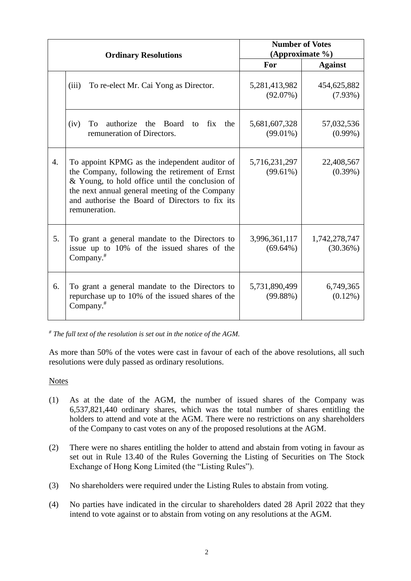| <b>Ordinary Resolutions</b> |                                                                                                                                                                                                                                                                          | <b>Number of Votes</b><br>(Approximate %) |                           |
|-----------------------------|--------------------------------------------------------------------------------------------------------------------------------------------------------------------------------------------------------------------------------------------------------------------------|-------------------------------------------|---------------------------|
|                             |                                                                                                                                                                                                                                                                          | For                                       | <b>Against</b>            |
|                             | (iii)<br>To re-elect Mr. Cai Yong as Director.                                                                                                                                                                                                                           | 5,281,413,982<br>(92.07%)                 | 454,625,882<br>$(7.93\%)$ |
|                             | authorize the Board<br>(iv)<br>To<br>to fix<br>the<br>remuneration of Directors.                                                                                                                                                                                         | 5,681,607,328<br>$(99.01\%)$              | 57,032,536<br>$(0.99\%)$  |
| $\overline{4}$ .            | To appoint KPMG as the independent auditor of<br>the Company, following the retirement of Ernst<br>& Young, to hold office until the conclusion of<br>the next annual general meeting of the Company<br>and authorise the Board of Directors to fix its<br>remuneration. | 5,716,231,297<br>$(99.61\%)$              | 22,408,567<br>$(0.39\%)$  |
| 5.                          | To grant a general mandate to the Directors to<br>issue up to 10% of the issued shares of the<br>Company. $#$                                                                                                                                                            | 3,996,361,117<br>$(69.64\%)$              | 1,742,278,747<br>(30.36%) |
| 6.                          | To grant a general mandate to the Directors to<br>repurchase up to 10% of the issued shares of the<br>Company. $#$                                                                                                                                                       | 5,731,890,499<br>$(99.88\%)$              | 6,749,365<br>$(0.12\%)$   |

*# The full text of the resolution is set out in the notice of the AGM.*

As more than 50% of the votes were cast in favour of each of the above resolutions, all such resolutions were duly passed as ordinary resolutions.

#### Notes

- (1) As at the date of the AGM, the number of issued shares of the Company was 6,537,821,440 ordinary shares, which was the total number of shares entitling the holders to attend and vote at the AGM. There were no restrictions on any shareholders of the Company to cast votes on any of the proposed resolutions at the AGM.
- (2) There were no shares entitling the holder to attend and abstain from voting in favour as set out in Rule 13.40 of the Rules Governing the Listing of Securities on The Stock Exchange of Hong Kong Limited (the "Listing Rules").
- (3) No shareholders were required under the Listing Rules to abstain from voting.
- (4) No parties have indicated in the circular to shareholders dated 28 April 2022 that they intend to vote against or to abstain from voting on any resolutions at the AGM.